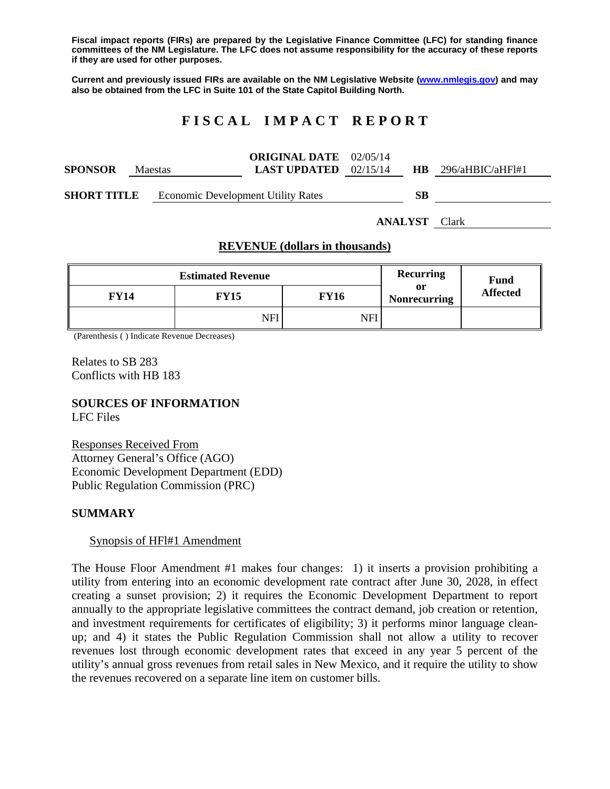**Fiscal impact reports (FIRs) are prepared by the Legislative Finance Committee (LFC) for standing finance committees of the NM Legislature. The LFC does not assume responsibility for the accuracy of these reports if they are used for other purposes.** 

**Current and previously issued FIRs are available on the NM Legislative Website (www.nmlegis.gov) and may also be obtained from the LFC in Suite 101 of the State Capitol Building North.** 

# **F I S C A L I M P A C T R E P O R T**

|                    |                |                                           | <b>ORIGINAL DATE</b> 02/05/14  |     |                  |  |
|--------------------|----------------|-------------------------------------------|--------------------------------|-----|------------------|--|
| <b>SPONSOR</b>     | <b>Maestas</b> |                                           | <b>LAST UPDATED</b> $02/15/14$ | HB. | 296/aHBIC/aHFI#1 |  |
|                    |                |                                           |                                |     |                  |  |
| <b>SHORT TITLE</b> |                | <b>Economic Development Utility Rates</b> |                                | SВ  |                  |  |

**ANALYST** Clark

### **REVENUE (dollars in thousands)**

|      | Recurring   | <b>Fund</b> |                           |                 |
|------|-------------|-------------|---------------------------|-----------------|
| FY14 | <b>FY15</b> | FY16        | or<br><b>Nonrecurring</b> | <b>Affected</b> |
|      | NFI         | NFI         |                           |                 |

(Parenthesis ( ) Indicate Revenue Decreases)

Relates to SB 283 Conflicts with HB 183

## **SOURCES OF INFORMATION**

LFC Files

Responses Received From Attorney General's Office (AGO) Economic Development Department (EDD) Public Regulation Commission (PRC)

### **SUMMARY**

#### Synopsis of HFl#1 Amendment

The House Floor Amendment #1 makes four changes: 1) it inserts a provision prohibiting a utility from entering into an economic development rate contract after June 30, 2028, in effect creating a sunset provision; 2) it requires the Economic Development Department to report annually to the appropriate legislative committees the contract demand, job creation or retention, and investment requirements for certificates of eligibility; 3) it performs minor language cleanup; and 4) it states the Public Regulation Commission shall not allow a utility to recover revenues lost through economic development rates that exceed in any year 5 percent of the utility's annual gross revenues from retail sales in New Mexico, and it require the utility to show the revenues recovered on a separate line item on customer bills.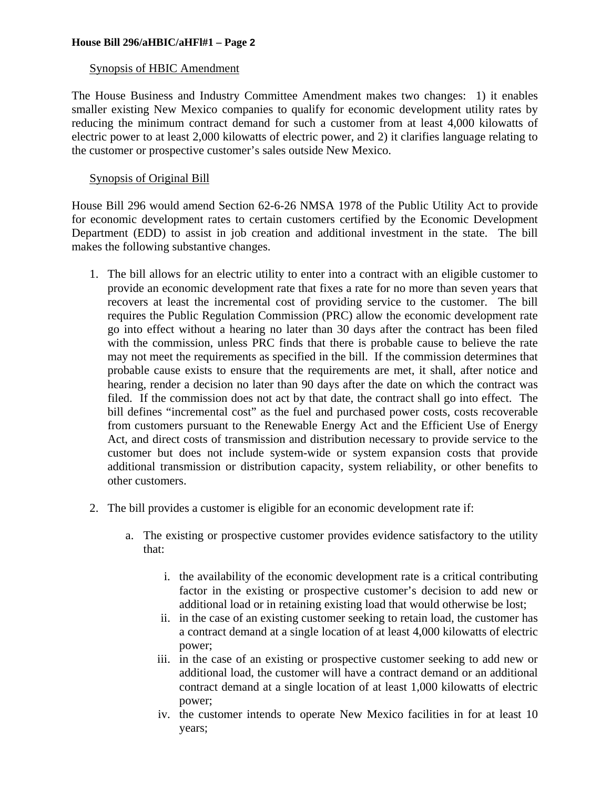#### **House Bill 296/aHBIC/aHFl#1 – Page 2**

### Synopsis of HBIC Amendment

The House Business and Industry Committee Amendment makes two changes: 1) it enables smaller existing New Mexico companies to qualify for economic development utility rates by reducing the minimum contract demand for such a customer from at least 4,000 kilowatts of electric power to at least 2,000 kilowatts of electric power, and 2) it clarifies language relating to the customer or prospective customer's sales outside New Mexico.

### Synopsis of Original Bill

House Bill 296 would amend Section 62-6-26 NMSA 1978 of the Public Utility Act to provide for economic development rates to certain customers certified by the Economic Development Department (EDD) to assist in job creation and additional investment in the state. The bill makes the following substantive changes.

- 1. The bill allows for an electric utility to enter into a contract with an eligible customer to provide an economic development rate that fixes a rate for no more than seven years that recovers at least the incremental cost of providing service to the customer. The bill requires the Public Regulation Commission (PRC) allow the economic development rate go into effect without a hearing no later than 30 days after the contract has been filed with the commission, unless PRC finds that there is probable cause to believe the rate may not meet the requirements as specified in the bill. If the commission determines that probable cause exists to ensure that the requirements are met, it shall, after notice and hearing, render a decision no later than 90 days after the date on which the contract was filed. If the commission does not act by that date, the contract shall go into effect. The bill defines "incremental cost" as the fuel and purchased power costs, costs recoverable from customers pursuant to the Renewable Energy Act and the Efficient Use of Energy Act, and direct costs of transmission and distribution necessary to provide service to the customer but does not include system-wide or system expansion costs that provide additional transmission or distribution capacity, system reliability, or other benefits to other customers.
- 2. The bill provides a customer is eligible for an economic development rate if:
	- a. The existing or prospective customer provides evidence satisfactory to the utility that:
		- i. the availability of the economic development rate is a critical contributing factor in the existing or prospective customer's decision to add new or additional load or in retaining existing load that would otherwise be lost;
		- ii. in the case of an existing customer seeking to retain load, the customer has a contract demand at a single location of at least 4,000 kilowatts of electric power;
		- iii. in the case of an existing or prospective customer seeking to add new or additional load, the customer will have a contract demand or an additional contract demand at a single location of at least 1,000 kilowatts of electric power;
		- iv. the customer intends to operate New Mexico facilities in for at least 10 years;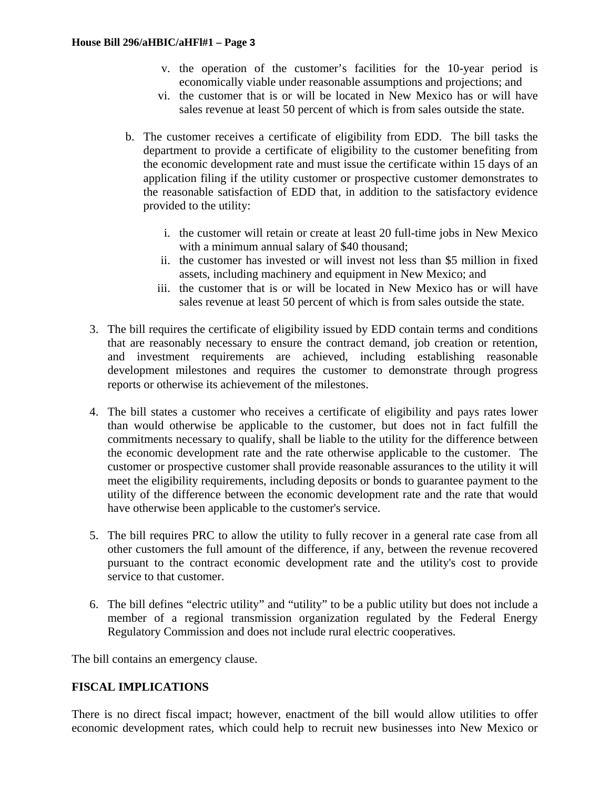- v. the operation of the customer's facilities for the 10-year period is economically viable under reasonable assumptions and projections; and
- vi. the customer that is or will be located in New Mexico has or will have sales revenue at least 50 percent of which is from sales outside the state.
- b. The customer receives a certificate of eligibility from EDD. The bill tasks the department to provide a certificate of eligibility to the customer benefiting from the economic development rate and must issue the certificate within 15 days of an application filing if the utility customer or prospective customer demonstrates to the reasonable satisfaction of EDD that, in addition to the satisfactory evidence provided to the utility:
	- i. the customer will retain or create at least 20 full-time jobs in New Mexico with a minimum annual salary of \$40 thousand;
	- ii. the customer has invested or will invest not less than \$5 million in fixed assets, including machinery and equipment in New Mexico; and
	- iii. the customer that is or will be located in New Mexico has or will have sales revenue at least 50 percent of which is from sales outside the state.
- 3. The bill requires the certificate of eligibility issued by EDD contain terms and conditions that are reasonably necessary to ensure the contract demand, job creation or retention, and investment requirements are achieved, including establishing reasonable development milestones and requires the customer to demonstrate through progress reports or otherwise its achievement of the milestones.
- 4. The bill states a customer who receives a certificate of eligibility and pays rates lower than would otherwise be applicable to the customer, but does not in fact fulfill the commitments necessary to qualify, shall be liable to the utility for the difference between the economic development rate and the rate otherwise applicable to the customer. The customer or prospective customer shall provide reasonable assurances to the utility it will meet the eligibility requirements, including deposits or bonds to guarantee payment to the utility of the difference between the economic development rate and the rate that would have otherwise been applicable to the customer's service.
- 5. The bill requires PRC to allow the utility to fully recover in a general rate case from all other customers the full amount of the difference, if any, between the revenue recovered pursuant to the contract economic development rate and the utility's cost to provide service to that customer.
- 6. The bill defines "electric utility" and "utility" to be a public utility but does not include a member of a regional transmission organization regulated by the Federal Energy Regulatory Commission and does not include rural electric cooperatives.

The bill contains an emergency clause.

## **FISCAL IMPLICATIONS**

There is no direct fiscal impact; however, enactment of the bill would allow utilities to offer economic development rates, which could help to recruit new businesses into New Mexico or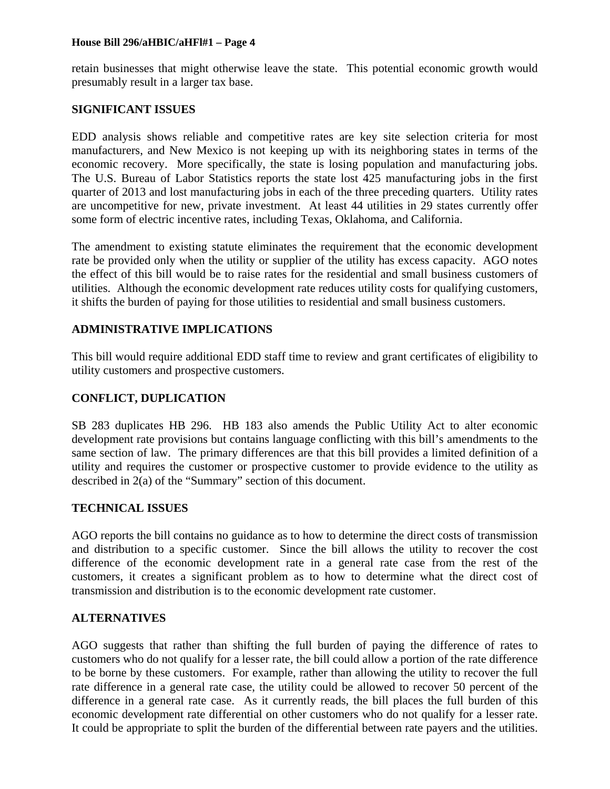#### **House Bill 296/aHBIC/aHFl#1 – Page 4**

retain businesses that might otherwise leave the state. This potential economic growth would presumably result in a larger tax base.

### **SIGNIFICANT ISSUES**

EDD analysis shows reliable and competitive rates are key site selection criteria for most manufacturers, and New Mexico is not keeping up with its neighboring states in terms of the economic recovery. More specifically, the state is losing population and manufacturing jobs. The U.S. Bureau of Labor Statistics reports the state lost 425 manufacturing jobs in the first quarter of 2013 and lost manufacturing jobs in each of the three preceding quarters. Utility rates are uncompetitive for new, private investment. At least 44 utilities in 29 states currently offer some form of electric incentive rates, including Texas, Oklahoma, and California.

The amendment to existing statute eliminates the requirement that the economic development rate be provided only when the utility or supplier of the utility has excess capacity. AGO notes the effect of this bill would be to raise rates for the residential and small business customers of utilities. Although the economic development rate reduces utility costs for qualifying customers, it shifts the burden of paying for those utilities to residential and small business customers.

## **ADMINISTRATIVE IMPLICATIONS**

This bill would require additional EDD staff time to review and grant certificates of eligibility to utility customers and prospective customers.

### **CONFLICT, DUPLICATION**

SB 283 duplicates HB 296. HB 183 also amends the Public Utility Act to alter economic development rate provisions but contains language conflicting with this bill's amendments to the same section of law. The primary differences are that this bill provides a limited definition of a utility and requires the customer or prospective customer to provide evidence to the utility as described in 2(a) of the "Summary" section of this document.

### **TECHNICAL ISSUES**

AGO reports the bill contains no guidance as to how to determine the direct costs of transmission and distribution to a specific customer. Since the bill allows the utility to recover the cost difference of the economic development rate in a general rate case from the rest of the customers, it creates a significant problem as to how to determine what the direct cost of transmission and distribution is to the economic development rate customer.

### **ALTERNATIVES**

AGO suggests that rather than shifting the full burden of paying the difference of rates to customers who do not qualify for a lesser rate, the bill could allow a portion of the rate difference to be borne by these customers. For example, rather than allowing the utility to recover the full rate difference in a general rate case, the utility could be allowed to recover 50 percent of the difference in a general rate case. As it currently reads, the bill places the full burden of this economic development rate differential on other customers who do not qualify for a lesser rate. It could be appropriate to split the burden of the differential between rate payers and the utilities.